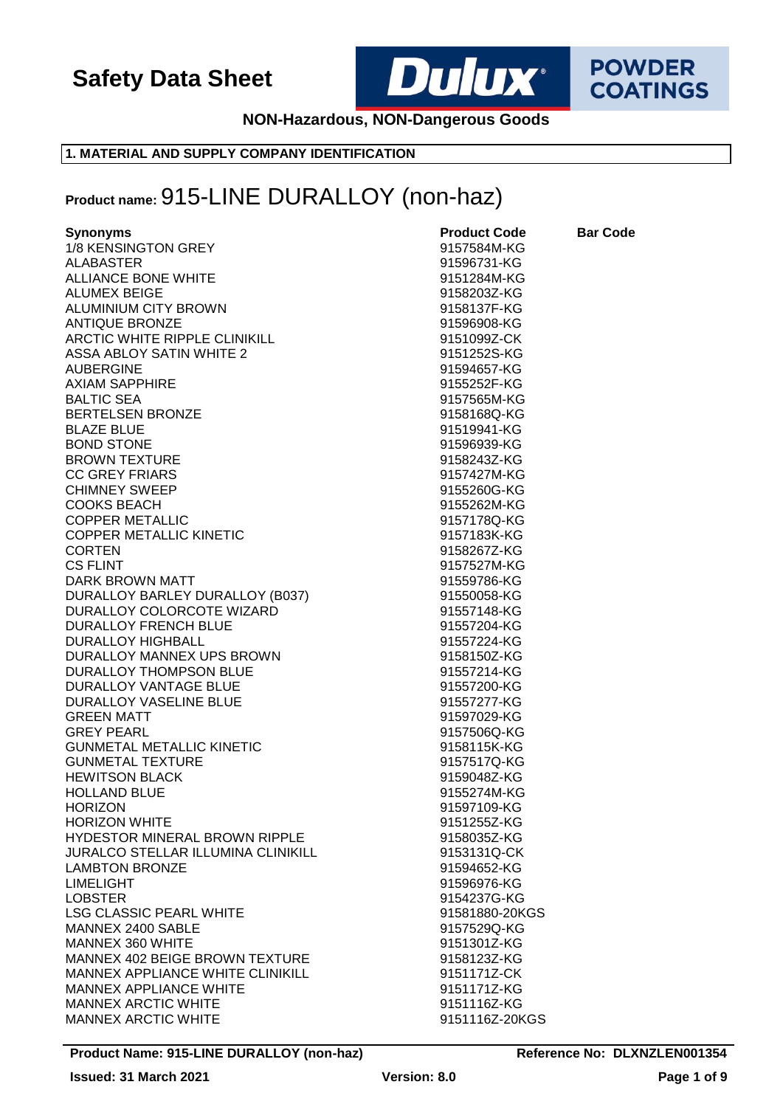

**POWDER COATINGS** 

**NON-Hazardous, NON-Dangerous Goods**

### **1. MATERIAL AND SUPPLY COMPANY IDENTIFICATION**

## **Product name:** 915-LINE DURALLOY (non-haz)

| <b>ALABASTER</b><br>91596731-KG<br><b>ALLIANCE BONE WHITE</b><br>9151284M-KG<br><b>ALUMEX BEIGE</b><br>9158203Z-KG<br>9158137F-KG<br>ALUMINIUM CITY BROWN<br><b>ANTIQUE BRONZE</b><br>91596908-KG<br>ARCTIC WHITE RIPPLE CLINIKILL<br>9151099Z-CK<br><b>ASSA ABLOY SATIN WHITE 2</b><br>9151252S-KG<br><b>AUBERGINE</b><br>91594657-KG<br><b>AXIAM SAPPHIRE</b><br>9155252F-KG<br><b>BALTIC SEA</b><br>9157565M-KG<br><b>BERTELSEN BRONZE</b><br>9158168Q-KG<br><b>BLAZE BLUE</b><br>91519941-KG<br><b>BOND STONE</b><br>91596939-KG<br><b>BROWN TEXTURE</b><br>9158243Z-KG<br><b>CC GREY FRIARS</b><br>9157427M-KG<br><b>CHIMNEY SWEEP</b><br>9155260G-KG<br><b>COOKS BEACH</b><br>9155262M-KG<br><b>COPPER METALLIC</b><br>9157178Q-KG<br><b>COPPER METALLIC KINETIC</b><br>9157183K-KG<br><b>CORTEN</b><br>9158267Z-KG<br>9157527M-KG<br><b>CS FLINT</b><br><b>DARK BROWN MATT</b><br>91559786-KG<br>DURALLOY BARLEY DURALLOY (B037)<br>91550058-KG<br>DURALLOY COLORCOTE WIZARD<br>91557148-KG<br><b>DURALLOY FRENCH BLUE</b><br>91557204-KG<br><b>DURALLOY HIGHBALL</b><br>91557224-KG<br>DURALLOY MANNEX UPS BROWN<br>9158150Z-KG<br>DURALLOY THOMPSON BLUE<br>91557214-KG<br>DURALLOY VANTAGE BLUE<br>91557200-KG<br>DURALLOY VASELINE BLUE<br>91557277-KG<br><b>GREEN MATT</b><br>91597029-KG<br><b>GREY PEARL</b><br>9157506Q-KG<br><b>GUNMETAL METALLIC KINETIC</b><br>9158115K-KG<br><b>GUNMETAL TEXTURE</b><br>9157517Q-KG<br><b>HEWITSON BLACK</b><br>9159048Z-KG<br><b>HOLLAND BLUE</b><br>9155274M-KG<br><b>HORIZON</b><br>91597109-KG<br><b>HORIZON WHITE</b><br>9151255Z-KG<br><b>HYDESTOR MINERAL BROWN RIPPLE</b><br>9158035Z-KG<br><b>JURALCO STELLAR ILLUMINA CLINIKILL</b><br>9153131Q-CK<br><b>LAMBTON BRONZE</b><br>91594652-KG<br><b>LIMELIGHT</b><br>91596976-KG<br><b>LOBSTER</b><br>9154237G-KG<br><b>LSG CLASSIC PEARL WHITE</b><br>91581880-20KGS<br>MANNEX 2400 SABLE<br>9157529Q-KG<br>MANNEX 360 WHITE<br>9151301Z-KG<br>MANNEX 402 BEIGE BROWN TEXTURE<br>9158123Z-KG<br>MANNEX APPLIANCE WHITE CLINIKILL<br>9151171Z-CK<br><b>MANNEX APPLIANCE WHITE</b><br>9151171Z-KG<br><b>MANNEX ARCTIC WHITE</b><br>9151116Z-KG<br><b>MANNEX ARCTIC WHITE</b><br>9151116Z-20KGS | <b>Synonyms</b>     | <b>Product Code</b> | <b>Bar Code</b> |
|---------------------------------------------------------------------------------------------------------------------------------------------------------------------------------------------------------------------------------------------------------------------------------------------------------------------------------------------------------------------------------------------------------------------------------------------------------------------------------------------------------------------------------------------------------------------------------------------------------------------------------------------------------------------------------------------------------------------------------------------------------------------------------------------------------------------------------------------------------------------------------------------------------------------------------------------------------------------------------------------------------------------------------------------------------------------------------------------------------------------------------------------------------------------------------------------------------------------------------------------------------------------------------------------------------------------------------------------------------------------------------------------------------------------------------------------------------------------------------------------------------------------------------------------------------------------------------------------------------------------------------------------------------------------------------------------------------------------------------------------------------------------------------------------------------------------------------------------------------------------------------------------------------------------------------------------------------------------------------------------------------------------------------------------------------------------------------------------------------------------------------------------------------------------------------------------------------|---------------------|---------------------|-----------------|
|                                                                                                                                                                                                                                                                                                                                                                                                                                                                                                                                                                                                                                                                                                                                                                                                                                                                                                                                                                                                                                                                                                                                                                                                                                                                                                                                                                                                                                                                                                                                                                                                                                                                                                                                                                                                                                                                                                                                                                                                                                                                                                                                                                                                         | 1/8 KENSINGTON GREY | 9157584M-KG         |                 |
|                                                                                                                                                                                                                                                                                                                                                                                                                                                                                                                                                                                                                                                                                                                                                                                                                                                                                                                                                                                                                                                                                                                                                                                                                                                                                                                                                                                                                                                                                                                                                                                                                                                                                                                                                                                                                                                                                                                                                                                                                                                                                                                                                                                                         |                     |                     |                 |
|                                                                                                                                                                                                                                                                                                                                                                                                                                                                                                                                                                                                                                                                                                                                                                                                                                                                                                                                                                                                                                                                                                                                                                                                                                                                                                                                                                                                                                                                                                                                                                                                                                                                                                                                                                                                                                                                                                                                                                                                                                                                                                                                                                                                         |                     |                     |                 |
|                                                                                                                                                                                                                                                                                                                                                                                                                                                                                                                                                                                                                                                                                                                                                                                                                                                                                                                                                                                                                                                                                                                                                                                                                                                                                                                                                                                                                                                                                                                                                                                                                                                                                                                                                                                                                                                                                                                                                                                                                                                                                                                                                                                                         |                     |                     |                 |
|                                                                                                                                                                                                                                                                                                                                                                                                                                                                                                                                                                                                                                                                                                                                                                                                                                                                                                                                                                                                                                                                                                                                                                                                                                                                                                                                                                                                                                                                                                                                                                                                                                                                                                                                                                                                                                                                                                                                                                                                                                                                                                                                                                                                         |                     |                     |                 |
|                                                                                                                                                                                                                                                                                                                                                                                                                                                                                                                                                                                                                                                                                                                                                                                                                                                                                                                                                                                                                                                                                                                                                                                                                                                                                                                                                                                                                                                                                                                                                                                                                                                                                                                                                                                                                                                                                                                                                                                                                                                                                                                                                                                                         |                     |                     |                 |
|                                                                                                                                                                                                                                                                                                                                                                                                                                                                                                                                                                                                                                                                                                                                                                                                                                                                                                                                                                                                                                                                                                                                                                                                                                                                                                                                                                                                                                                                                                                                                                                                                                                                                                                                                                                                                                                                                                                                                                                                                                                                                                                                                                                                         |                     |                     |                 |
|                                                                                                                                                                                                                                                                                                                                                                                                                                                                                                                                                                                                                                                                                                                                                                                                                                                                                                                                                                                                                                                                                                                                                                                                                                                                                                                                                                                                                                                                                                                                                                                                                                                                                                                                                                                                                                                                                                                                                                                                                                                                                                                                                                                                         |                     |                     |                 |
|                                                                                                                                                                                                                                                                                                                                                                                                                                                                                                                                                                                                                                                                                                                                                                                                                                                                                                                                                                                                                                                                                                                                                                                                                                                                                                                                                                                                                                                                                                                                                                                                                                                                                                                                                                                                                                                                                                                                                                                                                                                                                                                                                                                                         |                     |                     |                 |
|                                                                                                                                                                                                                                                                                                                                                                                                                                                                                                                                                                                                                                                                                                                                                                                                                                                                                                                                                                                                                                                                                                                                                                                                                                                                                                                                                                                                                                                                                                                                                                                                                                                                                                                                                                                                                                                                                                                                                                                                                                                                                                                                                                                                         |                     |                     |                 |
|                                                                                                                                                                                                                                                                                                                                                                                                                                                                                                                                                                                                                                                                                                                                                                                                                                                                                                                                                                                                                                                                                                                                                                                                                                                                                                                                                                                                                                                                                                                                                                                                                                                                                                                                                                                                                                                                                                                                                                                                                                                                                                                                                                                                         |                     |                     |                 |
|                                                                                                                                                                                                                                                                                                                                                                                                                                                                                                                                                                                                                                                                                                                                                                                                                                                                                                                                                                                                                                                                                                                                                                                                                                                                                                                                                                                                                                                                                                                                                                                                                                                                                                                                                                                                                                                                                                                                                                                                                                                                                                                                                                                                         |                     |                     |                 |
|                                                                                                                                                                                                                                                                                                                                                                                                                                                                                                                                                                                                                                                                                                                                                                                                                                                                                                                                                                                                                                                                                                                                                                                                                                                                                                                                                                                                                                                                                                                                                                                                                                                                                                                                                                                                                                                                                                                                                                                                                                                                                                                                                                                                         |                     |                     |                 |
|                                                                                                                                                                                                                                                                                                                                                                                                                                                                                                                                                                                                                                                                                                                                                                                                                                                                                                                                                                                                                                                                                                                                                                                                                                                                                                                                                                                                                                                                                                                                                                                                                                                                                                                                                                                                                                                                                                                                                                                                                                                                                                                                                                                                         |                     |                     |                 |
|                                                                                                                                                                                                                                                                                                                                                                                                                                                                                                                                                                                                                                                                                                                                                                                                                                                                                                                                                                                                                                                                                                                                                                                                                                                                                                                                                                                                                                                                                                                                                                                                                                                                                                                                                                                                                                                                                                                                                                                                                                                                                                                                                                                                         |                     |                     |                 |
|                                                                                                                                                                                                                                                                                                                                                                                                                                                                                                                                                                                                                                                                                                                                                                                                                                                                                                                                                                                                                                                                                                                                                                                                                                                                                                                                                                                                                                                                                                                                                                                                                                                                                                                                                                                                                                                                                                                                                                                                                                                                                                                                                                                                         |                     |                     |                 |
|                                                                                                                                                                                                                                                                                                                                                                                                                                                                                                                                                                                                                                                                                                                                                                                                                                                                                                                                                                                                                                                                                                                                                                                                                                                                                                                                                                                                                                                                                                                                                                                                                                                                                                                                                                                                                                                                                                                                                                                                                                                                                                                                                                                                         |                     |                     |                 |
|                                                                                                                                                                                                                                                                                                                                                                                                                                                                                                                                                                                                                                                                                                                                                                                                                                                                                                                                                                                                                                                                                                                                                                                                                                                                                                                                                                                                                                                                                                                                                                                                                                                                                                                                                                                                                                                                                                                                                                                                                                                                                                                                                                                                         |                     |                     |                 |
|                                                                                                                                                                                                                                                                                                                                                                                                                                                                                                                                                                                                                                                                                                                                                                                                                                                                                                                                                                                                                                                                                                                                                                                                                                                                                                                                                                                                                                                                                                                                                                                                                                                                                                                                                                                                                                                                                                                                                                                                                                                                                                                                                                                                         |                     |                     |                 |
|                                                                                                                                                                                                                                                                                                                                                                                                                                                                                                                                                                                                                                                                                                                                                                                                                                                                                                                                                                                                                                                                                                                                                                                                                                                                                                                                                                                                                                                                                                                                                                                                                                                                                                                                                                                                                                                                                                                                                                                                                                                                                                                                                                                                         |                     |                     |                 |
|                                                                                                                                                                                                                                                                                                                                                                                                                                                                                                                                                                                                                                                                                                                                                                                                                                                                                                                                                                                                                                                                                                                                                                                                                                                                                                                                                                                                                                                                                                                                                                                                                                                                                                                                                                                                                                                                                                                                                                                                                                                                                                                                                                                                         |                     |                     |                 |
|                                                                                                                                                                                                                                                                                                                                                                                                                                                                                                                                                                                                                                                                                                                                                                                                                                                                                                                                                                                                                                                                                                                                                                                                                                                                                                                                                                                                                                                                                                                                                                                                                                                                                                                                                                                                                                                                                                                                                                                                                                                                                                                                                                                                         |                     |                     |                 |
|                                                                                                                                                                                                                                                                                                                                                                                                                                                                                                                                                                                                                                                                                                                                                                                                                                                                                                                                                                                                                                                                                                                                                                                                                                                                                                                                                                                                                                                                                                                                                                                                                                                                                                                                                                                                                                                                                                                                                                                                                                                                                                                                                                                                         |                     |                     |                 |
|                                                                                                                                                                                                                                                                                                                                                                                                                                                                                                                                                                                                                                                                                                                                                                                                                                                                                                                                                                                                                                                                                                                                                                                                                                                                                                                                                                                                                                                                                                                                                                                                                                                                                                                                                                                                                                                                                                                                                                                                                                                                                                                                                                                                         |                     |                     |                 |
|                                                                                                                                                                                                                                                                                                                                                                                                                                                                                                                                                                                                                                                                                                                                                                                                                                                                                                                                                                                                                                                                                                                                                                                                                                                                                                                                                                                                                                                                                                                                                                                                                                                                                                                                                                                                                                                                                                                                                                                                                                                                                                                                                                                                         |                     |                     |                 |
|                                                                                                                                                                                                                                                                                                                                                                                                                                                                                                                                                                                                                                                                                                                                                                                                                                                                                                                                                                                                                                                                                                                                                                                                                                                                                                                                                                                                                                                                                                                                                                                                                                                                                                                                                                                                                                                                                                                                                                                                                                                                                                                                                                                                         |                     |                     |                 |
|                                                                                                                                                                                                                                                                                                                                                                                                                                                                                                                                                                                                                                                                                                                                                                                                                                                                                                                                                                                                                                                                                                                                                                                                                                                                                                                                                                                                                                                                                                                                                                                                                                                                                                                                                                                                                                                                                                                                                                                                                                                                                                                                                                                                         |                     |                     |                 |
|                                                                                                                                                                                                                                                                                                                                                                                                                                                                                                                                                                                                                                                                                                                                                                                                                                                                                                                                                                                                                                                                                                                                                                                                                                                                                                                                                                                                                                                                                                                                                                                                                                                                                                                                                                                                                                                                                                                                                                                                                                                                                                                                                                                                         |                     |                     |                 |
|                                                                                                                                                                                                                                                                                                                                                                                                                                                                                                                                                                                                                                                                                                                                                                                                                                                                                                                                                                                                                                                                                                                                                                                                                                                                                                                                                                                                                                                                                                                                                                                                                                                                                                                                                                                                                                                                                                                                                                                                                                                                                                                                                                                                         |                     |                     |                 |
|                                                                                                                                                                                                                                                                                                                                                                                                                                                                                                                                                                                                                                                                                                                                                                                                                                                                                                                                                                                                                                                                                                                                                                                                                                                                                                                                                                                                                                                                                                                                                                                                                                                                                                                                                                                                                                                                                                                                                                                                                                                                                                                                                                                                         |                     |                     |                 |
|                                                                                                                                                                                                                                                                                                                                                                                                                                                                                                                                                                                                                                                                                                                                                                                                                                                                                                                                                                                                                                                                                                                                                                                                                                                                                                                                                                                                                                                                                                                                                                                                                                                                                                                                                                                                                                                                                                                                                                                                                                                                                                                                                                                                         |                     |                     |                 |
|                                                                                                                                                                                                                                                                                                                                                                                                                                                                                                                                                                                                                                                                                                                                                                                                                                                                                                                                                                                                                                                                                                                                                                                                                                                                                                                                                                                                                                                                                                                                                                                                                                                                                                                                                                                                                                                                                                                                                                                                                                                                                                                                                                                                         |                     |                     |                 |
|                                                                                                                                                                                                                                                                                                                                                                                                                                                                                                                                                                                                                                                                                                                                                                                                                                                                                                                                                                                                                                                                                                                                                                                                                                                                                                                                                                                                                                                                                                                                                                                                                                                                                                                                                                                                                                                                                                                                                                                                                                                                                                                                                                                                         |                     |                     |                 |
|                                                                                                                                                                                                                                                                                                                                                                                                                                                                                                                                                                                                                                                                                                                                                                                                                                                                                                                                                                                                                                                                                                                                                                                                                                                                                                                                                                                                                                                                                                                                                                                                                                                                                                                                                                                                                                                                                                                                                                                                                                                                                                                                                                                                         |                     |                     |                 |
|                                                                                                                                                                                                                                                                                                                                                                                                                                                                                                                                                                                                                                                                                                                                                                                                                                                                                                                                                                                                                                                                                                                                                                                                                                                                                                                                                                                                                                                                                                                                                                                                                                                                                                                                                                                                                                                                                                                                                                                                                                                                                                                                                                                                         |                     |                     |                 |
|                                                                                                                                                                                                                                                                                                                                                                                                                                                                                                                                                                                                                                                                                                                                                                                                                                                                                                                                                                                                                                                                                                                                                                                                                                                                                                                                                                                                                                                                                                                                                                                                                                                                                                                                                                                                                                                                                                                                                                                                                                                                                                                                                                                                         |                     |                     |                 |
|                                                                                                                                                                                                                                                                                                                                                                                                                                                                                                                                                                                                                                                                                                                                                                                                                                                                                                                                                                                                                                                                                                                                                                                                                                                                                                                                                                                                                                                                                                                                                                                                                                                                                                                                                                                                                                                                                                                                                                                                                                                                                                                                                                                                         |                     |                     |                 |
|                                                                                                                                                                                                                                                                                                                                                                                                                                                                                                                                                                                                                                                                                                                                                                                                                                                                                                                                                                                                                                                                                                                                                                                                                                                                                                                                                                                                                                                                                                                                                                                                                                                                                                                                                                                                                                                                                                                                                                                                                                                                                                                                                                                                         |                     |                     |                 |
|                                                                                                                                                                                                                                                                                                                                                                                                                                                                                                                                                                                                                                                                                                                                                                                                                                                                                                                                                                                                                                                                                                                                                                                                                                                                                                                                                                                                                                                                                                                                                                                                                                                                                                                                                                                                                                                                                                                                                                                                                                                                                                                                                                                                         |                     |                     |                 |
|                                                                                                                                                                                                                                                                                                                                                                                                                                                                                                                                                                                                                                                                                                                                                                                                                                                                                                                                                                                                                                                                                                                                                                                                                                                                                                                                                                                                                                                                                                                                                                                                                                                                                                                                                                                                                                                                                                                                                                                                                                                                                                                                                                                                         |                     |                     |                 |
|                                                                                                                                                                                                                                                                                                                                                                                                                                                                                                                                                                                                                                                                                                                                                                                                                                                                                                                                                                                                                                                                                                                                                                                                                                                                                                                                                                                                                                                                                                                                                                                                                                                                                                                                                                                                                                                                                                                                                                                                                                                                                                                                                                                                         |                     |                     |                 |
|                                                                                                                                                                                                                                                                                                                                                                                                                                                                                                                                                                                                                                                                                                                                                                                                                                                                                                                                                                                                                                                                                                                                                                                                                                                                                                                                                                                                                                                                                                                                                                                                                                                                                                                                                                                                                                                                                                                                                                                                                                                                                                                                                                                                         |                     |                     |                 |
|                                                                                                                                                                                                                                                                                                                                                                                                                                                                                                                                                                                                                                                                                                                                                                                                                                                                                                                                                                                                                                                                                                                                                                                                                                                                                                                                                                                                                                                                                                                                                                                                                                                                                                                                                                                                                                                                                                                                                                                                                                                                                                                                                                                                         |                     |                     |                 |
|                                                                                                                                                                                                                                                                                                                                                                                                                                                                                                                                                                                                                                                                                                                                                                                                                                                                                                                                                                                                                                                                                                                                                                                                                                                                                                                                                                                                                                                                                                                                                                                                                                                                                                                                                                                                                                                                                                                                                                                                                                                                                                                                                                                                         |                     |                     |                 |
|                                                                                                                                                                                                                                                                                                                                                                                                                                                                                                                                                                                                                                                                                                                                                                                                                                                                                                                                                                                                                                                                                                                                                                                                                                                                                                                                                                                                                                                                                                                                                                                                                                                                                                                                                                                                                                                                                                                                                                                                                                                                                                                                                                                                         |                     |                     |                 |
|                                                                                                                                                                                                                                                                                                                                                                                                                                                                                                                                                                                                                                                                                                                                                                                                                                                                                                                                                                                                                                                                                                                                                                                                                                                                                                                                                                                                                                                                                                                                                                                                                                                                                                                                                                                                                                                                                                                                                                                                                                                                                                                                                                                                         |                     |                     |                 |
|                                                                                                                                                                                                                                                                                                                                                                                                                                                                                                                                                                                                                                                                                                                                                                                                                                                                                                                                                                                                                                                                                                                                                                                                                                                                                                                                                                                                                                                                                                                                                                                                                                                                                                                                                                                                                                                                                                                                                                                                                                                                                                                                                                                                         |                     |                     |                 |
|                                                                                                                                                                                                                                                                                                                                                                                                                                                                                                                                                                                                                                                                                                                                                                                                                                                                                                                                                                                                                                                                                                                                                                                                                                                                                                                                                                                                                                                                                                                                                                                                                                                                                                                                                                                                                                                                                                                                                                                                                                                                                                                                                                                                         |                     |                     |                 |
|                                                                                                                                                                                                                                                                                                                                                                                                                                                                                                                                                                                                                                                                                                                                                                                                                                                                                                                                                                                                                                                                                                                                                                                                                                                                                                                                                                                                                                                                                                                                                                                                                                                                                                                                                                                                                                                                                                                                                                                                                                                                                                                                                                                                         |                     |                     |                 |
|                                                                                                                                                                                                                                                                                                                                                                                                                                                                                                                                                                                                                                                                                                                                                                                                                                                                                                                                                                                                                                                                                                                                                                                                                                                                                                                                                                                                                                                                                                                                                                                                                                                                                                                                                                                                                                                                                                                                                                                                                                                                                                                                                                                                         |                     |                     |                 |
|                                                                                                                                                                                                                                                                                                                                                                                                                                                                                                                                                                                                                                                                                                                                                                                                                                                                                                                                                                                                                                                                                                                                                                                                                                                                                                                                                                                                                                                                                                                                                                                                                                                                                                                                                                                                                                                                                                                                                                                                                                                                                                                                                                                                         |                     |                     |                 |
|                                                                                                                                                                                                                                                                                                                                                                                                                                                                                                                                                                                                                                                                                                                                                                                                                                                                                                                                                                                                                                                                                                                                                                                                                                                                                                                                                                                                                                                                                                                                                                                                                                                                                                                                                                                                                                                                                                                                                                                                                                                                                                                                                                                                         |                     |                     |                 |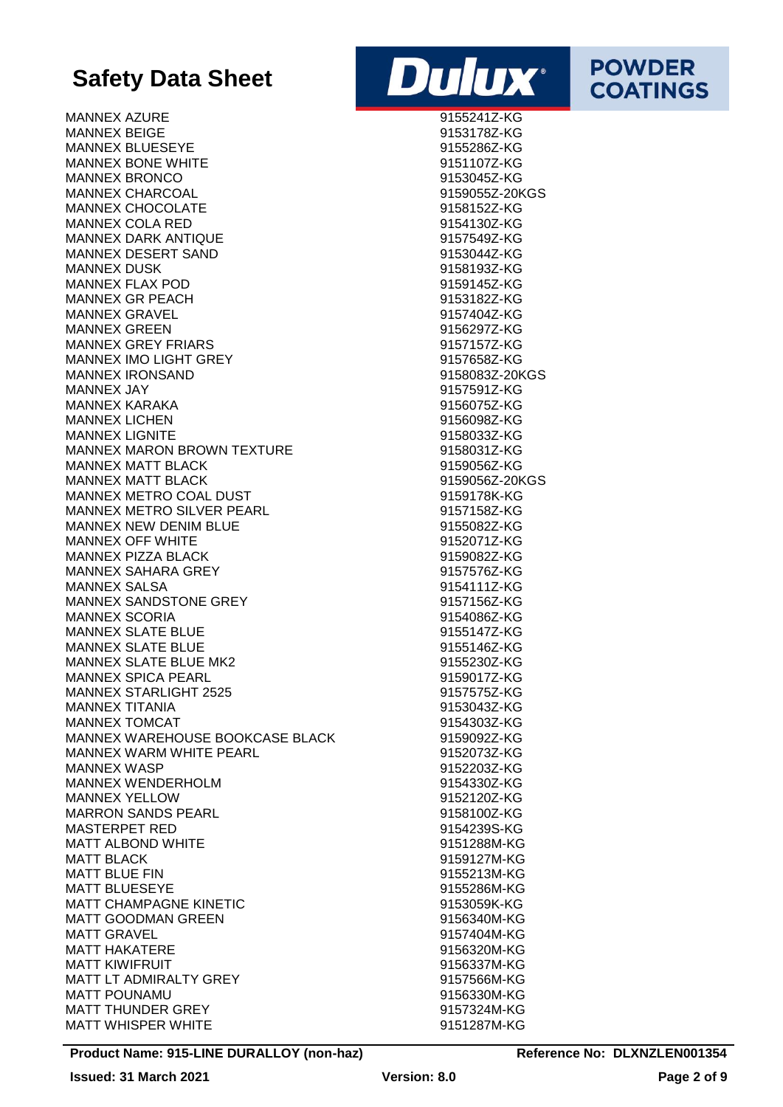MANNEX AZURE 9155241Z-KG MANNEX BEIGE 9153178Z-KG MANNEX BLUESEYE 9155286Z-KG MANNEX BONE WHITE 9151107Z-KG MANNEX BRONCO 9153045Z-KG MANNEX CHARCOAL 8159055Z-20KGS MANNEX CHOCOLATE 9158152Z-KG MANNEX COLA RED 9154130Z-KG MANNEX DARK ANTIQUE 9157549Z-KG MANNEX DESERT SAND 9153044Z-KG MANNEX DUSK 9158193Z-KG MANNEX FLAX POD **120 CONTROLLER SERVITS AND A SERVIT STATE** MANNEX GR PEACH 2002 12:00 12:00 12:00 12:00 12:00 12:00 12:00 12:00 12:00 12:00 12:00 12:00 12:00 12:00 12:00 MANNEX GRAVEL 2008 20157404Z-KG MANNEX GREEN 9156297Z-KG MANNEX GREY FRIARS 9157157Z-KG MANNEX IMO LIGHT GREY 8157658Z-KG MANNEX IRONSAND 9158083Z-20KGS MANNEX JAY 9157591Z-KG MANNEX KARAKA 9156075Z-KG MANNEX LICHEN 9156098Z-KG MANNEX LIGNITE 9158033Z-KG MANNEX MARON BROWN TEXTURE THE SERVICE OF SHAND STANDARD 9158031Z-KG MANNEX MATT BLACK **Example 2015 12:00 MANNEX MATT BLACK** MANNEX MATT BLACK GENERAL MANNEX MATT BLACK MANNEX METRO COAL DUST 8159178K-KG MANNEX METRO SILVER PEARL 8157158Z-KG MANNEX NEW DENIM BLUE **All and the Contract of the Strutter** 9155082Z-KG MANNEX OFF WHITE SALE SERVER AND MANNEX OF MULTIMETRIC MANNEY OF SALE SERVER AND MANNEY STATES AND MANNEY OF S MANNEX PIZZA BLACK 9159082Z-KG MANNEX SAHARA GREY **1992** 19157576Z-KG MANNEX SALSA 9154111Z-KG MANNEX SANDSTONE GREY **1200 CONTROLLER 1200 PM AND STATES** 9157156Z-KG MANNEX SCORIA 2008 - 2009 - 2010 - 2010 - 2010 - 2010 - 9154086Z-KG MANNEX SLATE BLUE 9155147Z-KG MANNEX SLATE BLUE MANNEX SLATE BLUE MK2 9155230Z-KG MANNEX SPICA PEARL 8159017Z-KG MANNEX STARLIGHT 2525 9157575Z-KG MANNEX TITANIA 9153043Z-KG MANNEX TOMCAT 9154303Z-KG MANNEX WAREHOUSE BOOKCASE BLACK 9159092Z-KG MANNEX WARM WHITE PEARL 9152073Z-KG MANNEX WASP 9152203Z-KG MANNEX WENDERHOLM 9154330Z-KG MANNEX YELLOW 9152120Z-KG MARRON SANDS PEARL 8158100Z-KG MASTERPET RED 8154239S-KG MATT ALBOND WHITE SERVICES AND MATT ALBOND WHITE MATT BLACK 9159127M-KG MATT BLUE FIN 2008 CONTROL 2015 19155213M-KG MATT BLUESEYE 9155286M-KG MATT CHAMPAGNE KINETIC 9153059K-KG MATT GOODMAN GREEN 9156340M-KG MATT GRAVEL 8157404M-KG MATT HAKATERE 8156320M-KG MATT KIWIFRUIT 9156337M-KG MATT LT ADMIRALTY GREY **1998** 19157566M-KG MATT POUNAMU 8156330M-KG MATT THUNDER GREY **1998** MATT THUNDER GREY MATT WHISPER WHITE **All and the USA Contract Contract Contract Contract Contract Contract Contract Contract Contract Contract Contract Contract Contract Contract Contract Contract Contract Contract Contract Contract Contra** 



**POWDER** 

**COATINGS**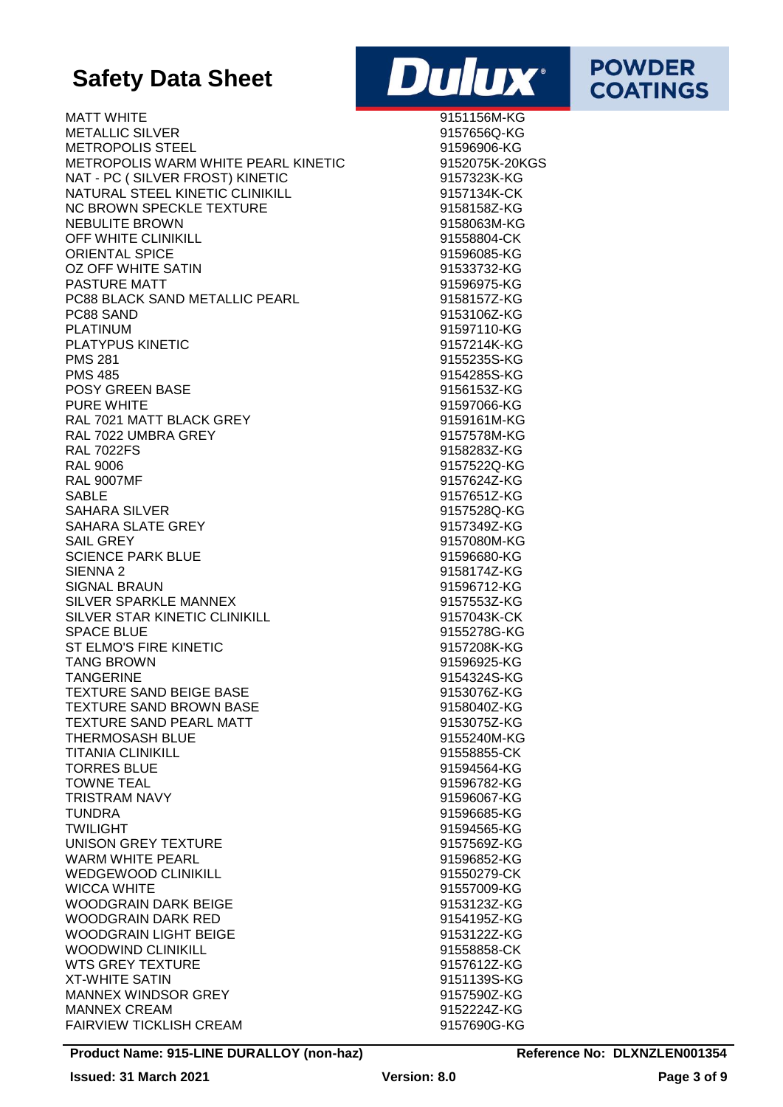MATT WHITE EXAMPLE THE SERVICE OF STREET AND MATT WHITE THE SERVICE OF STREET AND MATT WHITE METALLIC SILVER 9157656Q-KG METROPOLIS STEEL 91596906-KG METROPOLIS WARM WHITE PEARL KINETIC 9152075K-20KGS NAT - PC ( SILVER FROST) KINETIC 9157323K-KG NATURAL STEEL KINETIC CLINIKILL 6157134K-CK NC BROWN SPECKLE TEXTURE 8158158Z-KG NEBULITE BROWN 8158063M-KG OFF WHITE CLINIKILL 91558804-CK ORIENTAL SPICE 91596085-KG OZ OFF WHITE SATIN 91533732-KG PASTURE MATT **Example 2018 12:00 PASTURE MATT** PC88 BLACK SAND METALLIC PEARL 9158157Z-KG PC88 SAND 9153106Z-KG PLATINUM 91597110-KG PLATYPUS KINETIC 9157214K-KG PMS 281 9155235S-KG PMS 485 9154285S-KG POSY GREEN BASE 8156153Z-KG PURE WHITE **Example 2018 12:00 PURE WHITE** RAL 7021 MATT BLACK GREY **1200 MBLACK 1200 MBLACK** 9159161M-KG RAL 7022 UMBRA GREY **1992 UMBRA GREY 1916** 19157578M-KG RAL 7022FS 9158283Z-KG RAL 9006 9157522Q-KG RAL 9007MF 9157624Z-KG SABLE 9157651Z-KG SAHARA SILVER 9157528Q-KG SAHARA SLATE GREY 9157349Z-KG SAIL GREY 9157080M-KG SCIENCE PARK BLUE **191596680-KG** SIENNA 2 9158174Z-KG SIGNAL BRAUN 91596712-KG SILVER SPARKLE MANNEX **Example 2018** 19157553Z-KG SILVER STAR KINETIC CLINIKILL 9157043K-CK SPACE BLUE 9155278G-KG ST ELMO'S FIRE KINETIC 9157208K-KG TANG BROWN 91596925-KG TANGERINE 9154324S-KG TEXTURE SAND BEIGE BASE 88 and 153076Z-KG TEXTURE SAND BROWN BASE 9158040Z-KG TEXTURE SAND PEARL MATT 9153075Z-KG THERMOSASH BLUE 20155240M-KG TITANIA CLINIKILL 91558855-CK TORRES BLUE 91594564-KG TOWNE TEAL 91596782-KG TRISTRAM NAVY 91596067-KG TUNDRA 91596685-KG TWILIGHT 91594565-KG UNISON GREY TEXTURE 9157569Z-KG WARM WHITE PEARL **All and the USA Contract Contract Contract Contract Contract Contract Contract Contract Contract Contract Contract Contract Contract Contract Contract Contract Contract Contract Contract Contract Contract** WEDGEWOOD CLINIKILL **All and the US Annual Struck Control** 91550279-CK WICCA WHITE 91557009-KG WOODGRAIN DARK BEIGE 9153123Z-KG WOODGRAIN DARK RED 9154195Z-KG WOODGRAIN LIGHT BEIGE 9153122Z-KG WOODWIND CLINIKILL 91558858-CK WTS GREY TEXTURE 8157612Z-KG XT-WHITE SATIN 9151139S-KG MANNEX WINDSOR GREY **Example 2016** 19157590Z-KG MANNEX CREAM 9152224Z-KG FAIRVIEW TICKLISH CREAM 9157690G-KG



**POWDER** 

**COATINGS**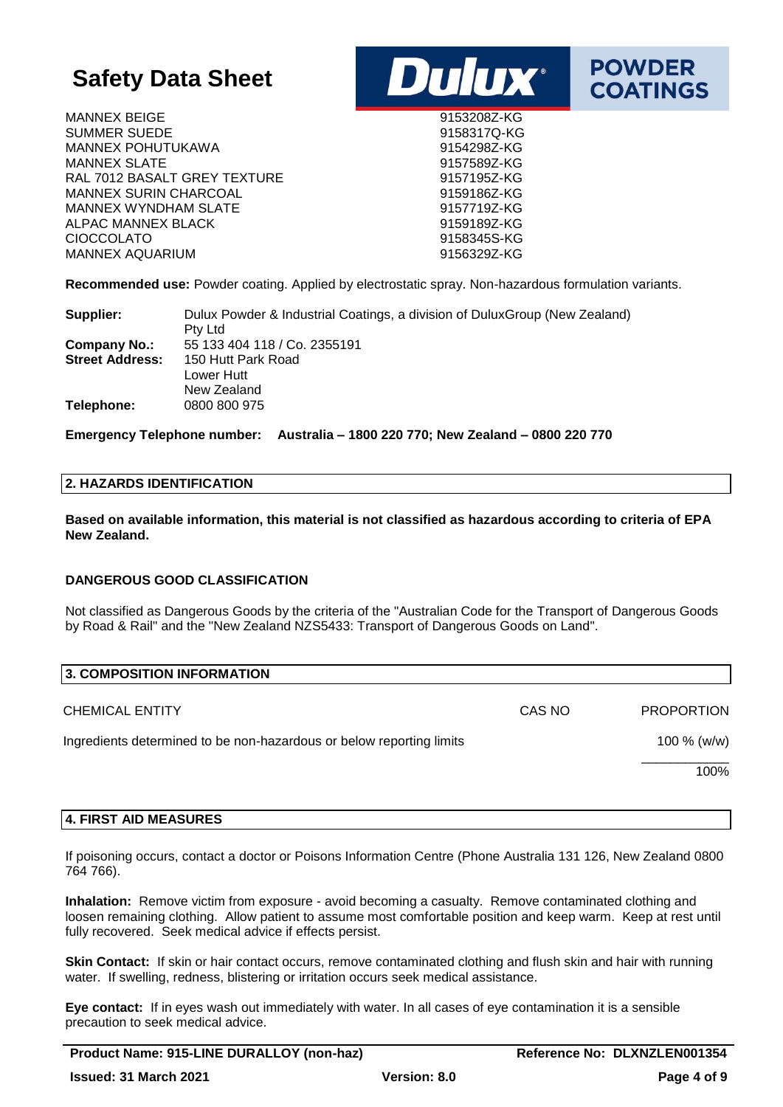MANNEX BEIGE 9153208Z-KG SUMMER SUEDE 9158317Q-KG MANNEX POHUTUKAWA 9154298Z-KG MANNEX SLATE 81 and 19157589Z-KG RAL 7012 BASALT GREY TEXTURE 6 0157195Z-KG MANNEX SURIN CHARCOAL 8159186Z-KG MANNEX WYNDHAM SLATE 8157719Z-KG ALPAC MANNEX BLACK 8159189Z-KG CIOCCOLATO 9158345S-KG MANNEX AQUARIUM 9156329Z-KG





**POWDER** 

**COATINGS** 

**Recommended use:** Powder coating. Applied by electrostatic spray. Non-hazardous formulation variants.

| Supplier:              | Dulux Powder & Industrial Coatings, a division of Dulux Group (New Zealand) |
|------------------------|-----------------------------------------------------------------------------|
|                        | Pty Ltd                                                                     |
| Company No.:           | 55 133 404 118 / Co. 2355191                                                |
| <b>Street Address:</b> | 150 Hutt Park Road                                                          |
|                        | Lower Hutt                                                                  |
|                        | New Zealand                                                                 |
| Telephone:             | 0800 800 975                                                                |

**Emergency Telephone number: Australia – 1800 220 770; New Zealand – 0800 220 770**

### **2. HAZARDS IDENTIFICATION**

**Based on available information, this material is not classified as hazardous according to criteria of EPA New Zealand.**

### **DANGEROUS GOOD CLASSIFICATION**

Not classified as Dangerous Goods by the criteria of the "Australian Code for the Transport of Dangerous Goods by Road & Rail" and the "New Zealand NZS5433: Transport of Dangerous Goods on Land".

| <b>3. COMPOSITION INFORMATION</b>                                    |        |                   |
|----------------------------------------------------------------------|--------|-------------------|
| <b>CHEMICAL ENTITY</b>                                               | CAS NO | <b>PROPORTION</b> |
| Ingredients determined to be non-hazardous or below reporting limits |        | 100 $% (w/w)$     |
|                                                                      |        | 100%              |

### **4. FIRST AID MEASURES**

If poisoning occurs, contact a doctor or Poisons Information Centre (Phone Australia 131 126, New Zealand 0800 764 766).

**Inhalation:** Remove victim from exposure - avoid becoming a casualty. Remove contaminated clothing and loosen remaining clothing. Allow patient to assume most comfortable position and keep warm. Keep at rest until fully recovered. Seek medical advice if effects persist.

**Skin Contact:** If skin or hair contact occurs, remove contaminated clothing and flush skin and hair with running water. If swelling, redness, blistering or irritation occurs seek medical assistance.

**Eye contact:** If in eyes wash out immediately with water. In all cases of eye contamination it is a sensible precaution to seek medical advice.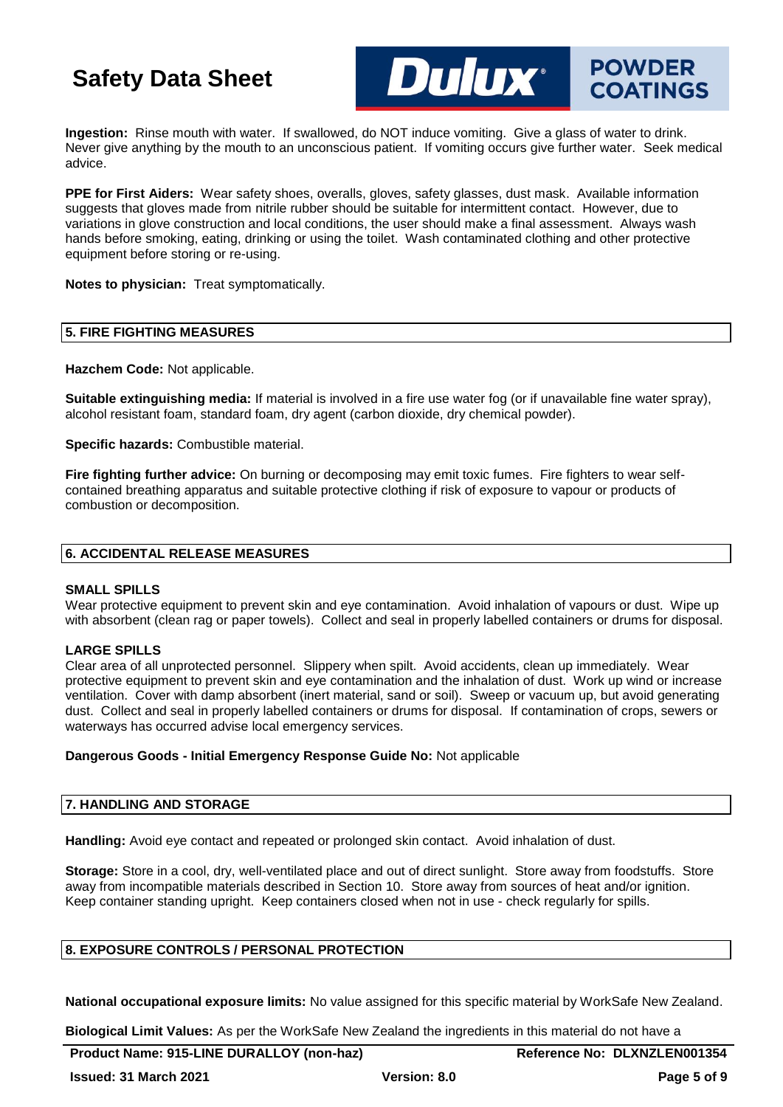

**Ingestion:** Rinse mouth with water. If swallowed, do NOT induce vomiting. Give a glass of water to drink. Never give anything by the mouth to an unconscious patient. If vomiting occurs give further water. Seek medical advice.

**PPE for First Aiders:** Wear safety shoes, overalls, gloves, safety glasses, dust mask. Available information suggests that gloves made from nitrile rubber should be suitable for intermittent contact. However, due to variations in glove construction and local conditions, the user should make a final assessment. Always wash hands before smoking, eating, drinking or using the toilet. Wash contaminated clothing and other protective equipment before storing or re-using.

**Notes to physician:** Treat symptomatically.

### **5. FIRE FIGHTING MEASURES**

**Hazchem Code:** Not applicable.

**Suitable extinguishing media:** If material is involved in a fire use water fog (or if unavailable fine water spray), alcohol resistant foam, standard foam, dry agent (carbon dioxide, dry chemical powder).

**Specific hazards:** Combustible material.

**Fire fighting further advice:** On burning or decomposing may emit toxic fumes. Fire fighters to wear selfcontained breathing apparatus and suitable protective clothing if risk of exposure to vapour or products of combustion or decomposition.

### **6. ACCIDENTAL RELEASE MEASURES**

### **SMALL SPILLS**

Wear protective equipment to prevent skin and eve contamination. Avoid inhalation of vapours or dust. Wipe up with absorbent (clean rag or paper towels). Collect and seal in properly labelled containers or drums for disposal.

### **LARGE SPILLS**

Clear area of all unprotected personnel. Slippery when spilt. Avoid accidents, clean up immediately. Wear protective equipment to prevent skin and eye contamination and the inhalation of dust. Work up wind or increase ventilation. Cover with damp absorbent (inert material, sand or soil). Sweep or vacuum up, but avoid generating dust. Collect and seal in properly labelled containers or drums for disposal. If contamination of crops, sewers or waterways has occurred advise local emergency services.

### **Dangerous Goods - Initial Emergency Response Guide No:** Not applicable

### **7. HANDLING AND STORAGE**

**Handling:** Avoid eye contact and repeated or prolonged skin contact. Avoid inhalation of dust.

**Storage:** Store in a cool, dry, well-ventilated place and out of direct sunlight. Store away from foodstuffs. Store away from incompatible materials described in Section 10. Store away from sources of heat and/or ignition. Keep container standing upright. Keep containers closed when not in use - check regularly for spills.

### **8. EXPOSURE CONTROLS / PERSONAL PROTECTION**

**National occupational exposure limits:** No value assigned for this specific material by WorkSafe New Zealand.

**Biological Limit Values:** As per the WorkSafe New Zealand the ingredients in this material do not have a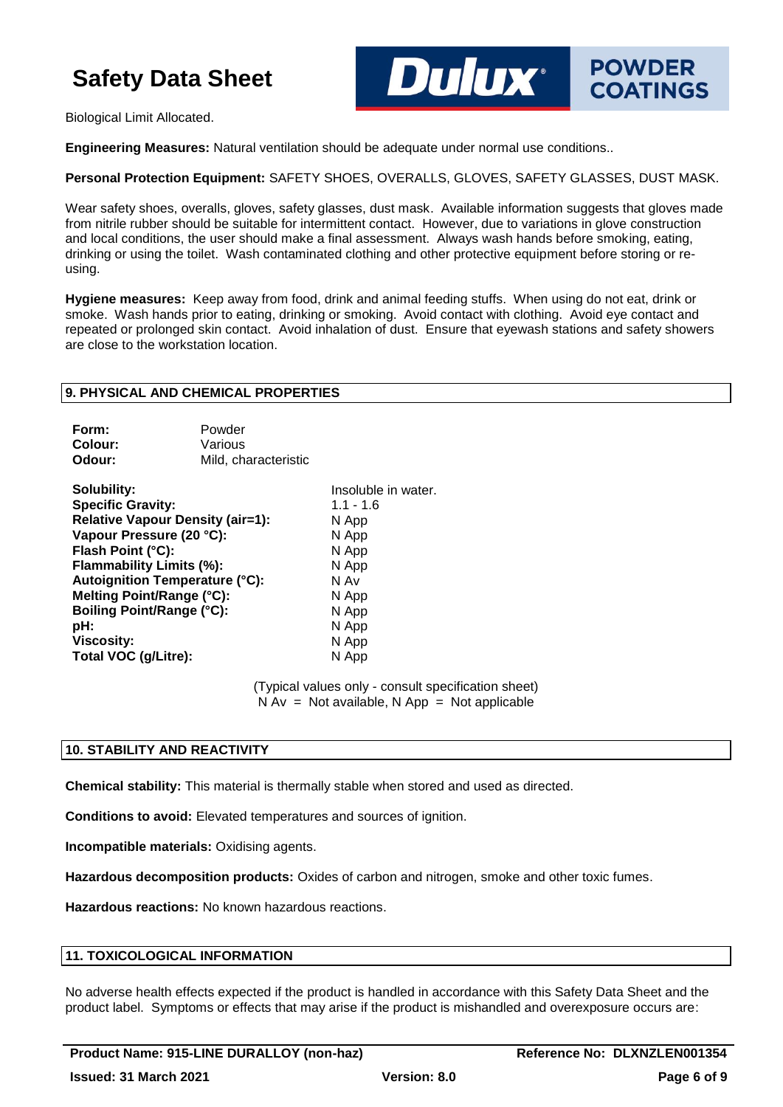

Biological Limit Allocated.

**Engineering Measures:** Natural ventilation should be adequate under normal use conditions..

**Personal Protection Equipment:** SAFETY SHOES, OVERALLS, GLOVES, SAFETY GLASSES, DUST MASK.

Wear safety shoes, overalls, gloves, safety glasses, dust mask. Available information suggests that gloves made from nitrile rubber should be suitable for intermittent contact. However, due to variations in glove construction and local conditions, the user should make a final assessment. Always wash hands before smoking, eating, drinking or using the toilet. Wash contaminated clothing and other protective equipment before storing or reusing.

**Hygiene measures:** Keep away from food, drink and animal feeding stuffs. When using do not eat, drink or smoke. Wash hands prior to eating, drinking or smoking. Avoid contact with clothing. Avoid eye contact and repeated or prolonged skin contact. Avoid inhalation of dust. Ensure that eyewash stations and safety showers are close to the workstation location.

### **9. PHYSICAL AND CHEMICAL PROPERTIES**

| Form:   | Powder               |
|---------|----------------------|
| Colour: | Various              |
| Odour:  | Mild, characteristic |

**Solubility:** Insoluble in water. **Specific Gravity:** 1.1 - 1.6 **Relative Vapour Density (air=1):** N App **Vapour Pressure (20 °C):** N App **Flash Point (°C):** N App<br> **Flammability Limits (%):** N App **Flammability Limits (%): Autoignition Temperature (°C):** N Av **Melting Point/Range (°C):** N App **Boiling Point/Range (°C):** N App **pH:** N App **Viscosity:** N App **Total VOC (g/Litre):** N App

(Typical values only - consult specification sheet)  $N Av = Not available, N App = Not applicable$ 

### **10. STABILITY AND REACTIVITY**

**Chemical stability:** This material is thermally stable when stored and used as directed.

**Conditions to avoid:** Elevated temperatures and sources of ignition.

**Incompatible materials:** Oxidising agents.

**Hazardous decomposition products:** Oxides of carbon and nitrogen, smoke and other toxic fumes.

**Hazardous reactions:** No known hazardous reactions.

### **11. TOXICOLOGICAL INFORMATION**

No adverse health effects expected if the product is handled in accordance with this Safety Data Sheet and the product label. Symptoms or effects that may arise if the product is mishandled and overexposure occurs are: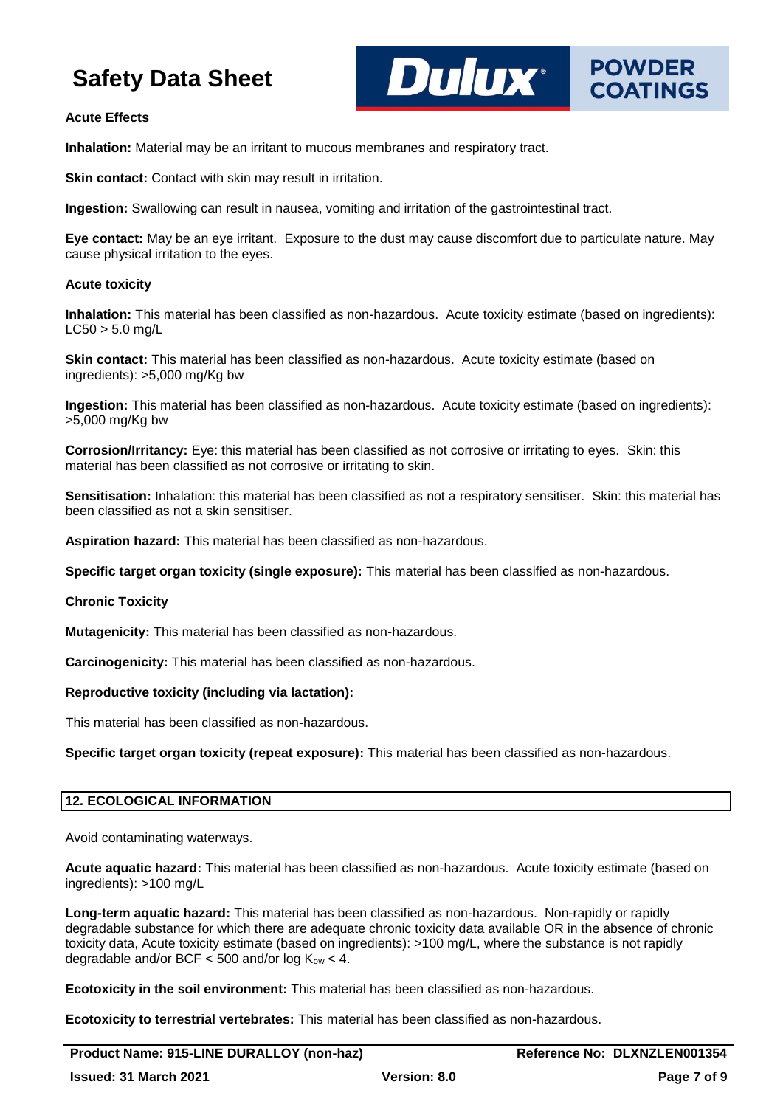

### **Acute Effects**

**Inhalation:** Material may be an irritant to mucous membranes and respiratory tract.

**Skin contact:** Contact with skin may result in irritation.

**Ingestion:** Swallowing can result in nausea, vomiting and irritation of the gastrointestinal tract.

**Eye contact:** May be an eye irritant. Exposure to the dust may cause discomfort due to particulate nature. May cause physical irritation to the eyes.

### **Acute toxicity**

**Inhalation:** This material has been classified as non-hazardous. Acute toxicity estimate (based on ingredients):  $LCS0 > 5.0$  mg/L

**Skin contact:** This material has been classified as non-hazardous. Acute toxicity estimate (based on ingredients): >5,000 mg/Kg bw

**Ingestion:** This material has been classified as non-hazardous. Acute toxicity estimate (based on ingredients): >5,000 mg/Kg bw

**Corrosion/Irritancy:** Eye: this material has been classified as not corrosive or irritating to eyes. Skin: this material has been classified as not corrosive or irritating to skin.

**Sensitisation:** Inhalation: this material has been classified as not a respiratory sensitiser. Skin: this material has been classified as not a skin sensitiser.

**Aspiration hazard:** This material has been classified as non-hazardous.

**Specific target organ toxicity (single exposure):** This material has been classified as non-hazardous.

### **Chronic Toxicity**

**Mutagenicity:** This material has been classified as non-hazardous.

**Carcinogenicity:** This material has been classified as non-hazardous.

### **Reproductive toxicity (including via lactation):**

This material has been classified as non-hazardous.

**Specific target organ toxicity (repeat exposure):** This material has been classified as non-hazardous.

### **12. ECOLOGICAL INFORMATION**

Avoid contaminating waterways.

**Acute aquatic hazard:** This material has been classified as non-hazardous. Acute toxicity estimate (based on ingredients): >100 mg/L

**Long-term aquatic hazard:** This material has been classified as non-hazardous. Non-rapidly or rapidly degradable substance for which there are adequate chronic toxicity data available OR in the absence of chronic toxicity data, Acute toxicity estimate (based on ingredients): >100 mg/L, where the substance is not rapidly degradable and/or BCF  $<$  500 and/or log  $K_{ow}$   $<$  4.

**Ecotoxicity in the soil environment:** This material has been classified as non-hazardous.

**Ecotoxicity to terrestrial vertebrates:** This material has been classified as non-hazardous.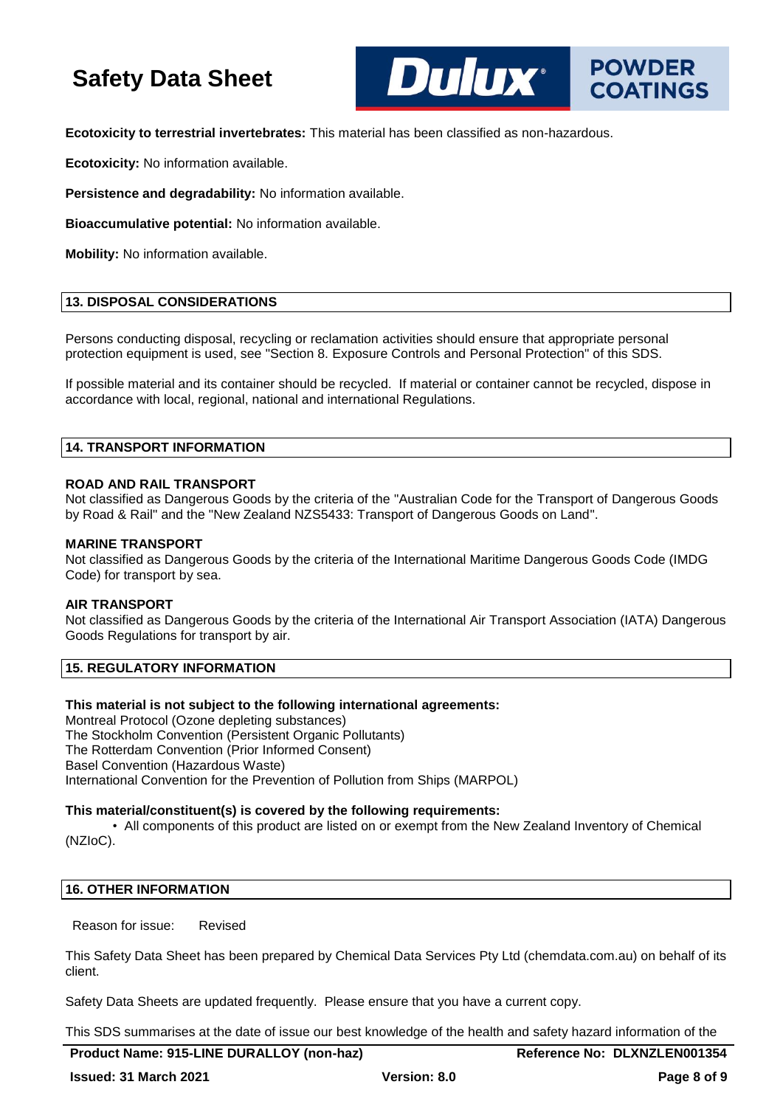**DUIDX**\*

**Ecotoxicity to terrestrial invertebrates:** This material has been classified as non-hazardous.

**Ecotoxicity:** No information available.

**Persistence and degradability:** No information available.

**Bioaccumulative potential:** No information available.

**Mobility:** No information available.

### **13. DISPOSAL CONSIDERATIONS**

Persons conducting disposal, recycling or reclamation activities should ensure that appropriate personal protection equipment is used, see "Section 8. Exposure Controls and Personal Protection" of this SDS.

If possible material and its container should be recycled. If material or container cannot be recycled, dispose in accordance with local, regional, national and international Regulations.

### **14. TRANSPORT INFORMATION**

### **ROAD AND RAIL TRANSPORT**

Not classified as Dangerous Goods by the criteria of the "Australian Code for the Transport of Dangerous Goods by Road & Rail" and the "New Zealand NZS5433: Transport of Dangerous Goods on Land".

### **MARINE TRANSPORT**

Not classified as Dangerous Goods by the criteria of the International Maritime Dangerous Goods Code (IMDG Code) for transport by sea.

### **AIR TRANSPORT**

Not classified as Dangerous Goods by the criteria of the International Air Transport Association (IATA) Dangerous Goods Regulations for transport by air.

### **15. REGULATORY INFORMATION**

### **This material is not subject to the following international agreements:**

Montreal Protocol (Ozone depleting substances) The Stockholm Convention (Persistent Organic Pollutants) The Rotterdam Convention (Prior Informed Consent) Basel Convention (Hazardous Waste) International Convention for the Prevention of Pollution from Ships (MARPOL)

### **This material/constituent(s) is covered by the following requirements:**

• All components of this product are listed on or exempt from the New Zealand Inventory of Chemical (NZIoC).

### **16. OTHER INFORMATION**

Reason for issue: Revised

This Safety Data Sheet has been prepared by Chemical Data Services Pty Ltd (chemdata.com.au) on behalf of its client.

Safety Data Sheets are updated frequently. Please ensure that you have a current copy.

This SDS summarises at the date of issue our best knowledge of the health and safety hazard information of the